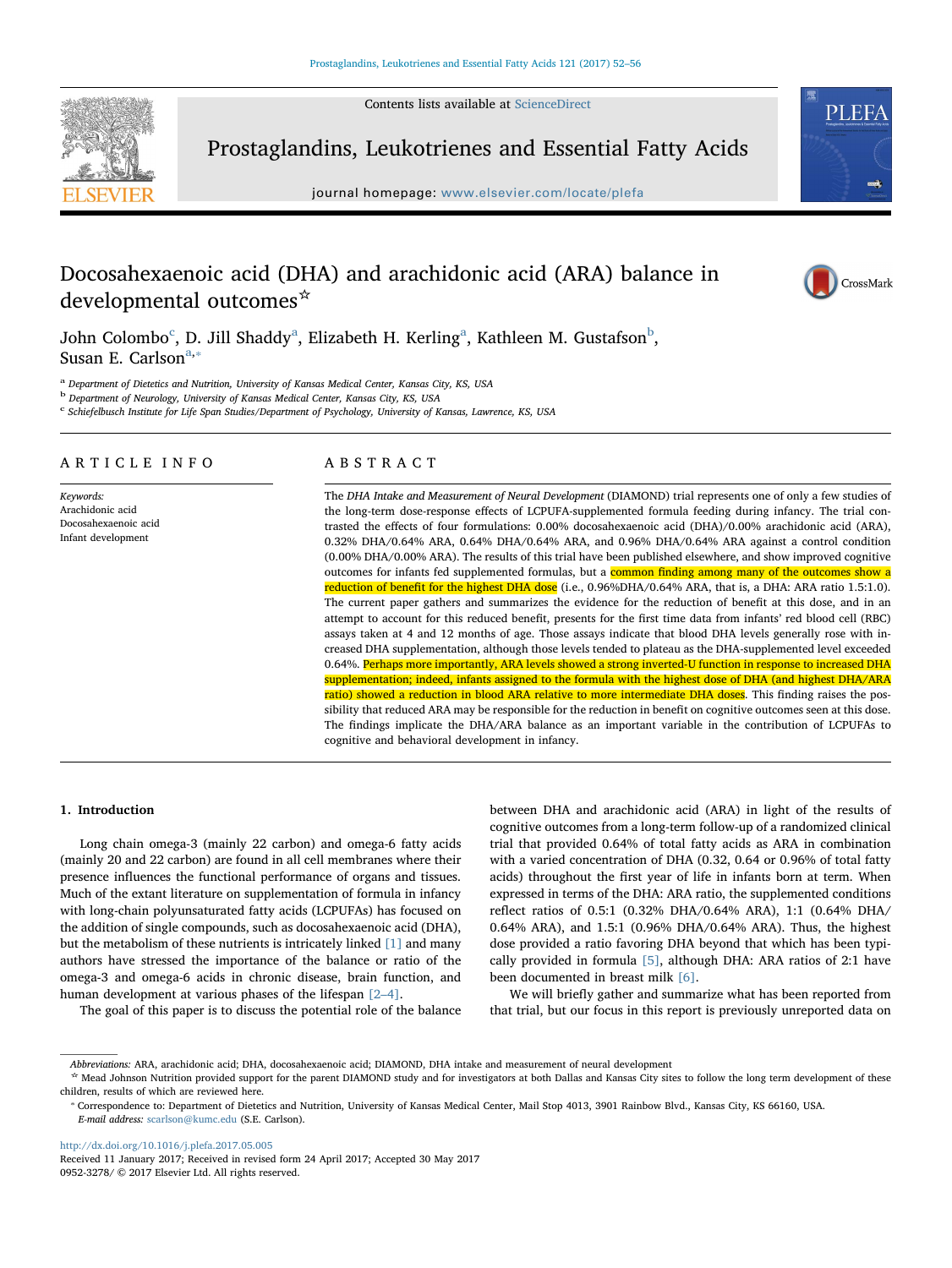Contents lists available at [ScienceDirect](http://www.sciencedirect.com/science/journal/09523278)



Prostaglandins, Leukotrienes and Essential Fatty Acids

journal homepage: [www.elsevier.com/locate/plefa](http://www.elsevier.com/locate/plefa)



# Docosahexaenoic acid (DHA) and arachidonic acid (ARA) balance in developmental outcomes☆



John Colom[b](#page-0-2)o $^{\rm c}$  $^{\rm c}$  $^{\rm c}$ , D. Jill Sh[a](#page-0-1)ddy $^{\rm a}$ , Elizabeth H. Kerling $^{\rm a}$ , Kathleen M. Gustafson $^{\rm b}$ , Sus[a](#page-0-1)n E. Carlson<sup>a,\*</sup>

<span id="page-0-1"></span><sup>a</sup> Department of Dietetics and Nutrition, University of Kansas Medical Center, Kansas City, KS, USA

<span id="page-0-2"></span><sup>b</sup> Department of Neurology, University of Kansas Medical Center, Kansas City, KS, USA

<span id="page-0-0"></span> $c$  Schiefelbusch Institute for Life Span Studies/Department of Psychology, University of Kansas, Lawrence, KS, USA

# ARTICLE INFO

Keywords: Arachidonic acid Docosahexaenoic acid Infant development

# ABSTRACT

The DHA Intake and Measurement of Neural Development (DIAMOND) trial represents one of only a few studies of the long-term dose-response effects of LCPUFA-supplemented formula feeding during infancy. The trial contrasted the effects of four formulations: 0.00% docosahexaenoic acid (DHA)/0.00% arachidonic acid (ARA), 0.32% DHA/0.64% ARA, 0.64% DHA/0.64% ARA, and 0.96% DHA/0.64% ARA against a control condition (0.00% DHA/0.00% ARA). The results of this trial have been published elsewhere, and show improved cognitive outcomes for infants fed supplemented formulas, but a common finding among many of the outcomes show a reduction of benefit for the highest DHA dose (i.e., 0.96%DHA/0.64% ARA, that is, a DHA: ARA ratio 1.5:1.0). The current paper gathers and summarizes the evidence for the reduction of benefit at this dose, and in an attempt to account for this reduced benefit, presents for the first time data from infants' red blood cell (RBC) assays taken at 4 and 12 months of age. Those assays indicate that blood DHA levels generally rose with increased DHA supplementation, although those levels tended to plateau as the DHA-supplemented level exceeded 0.64%. Perhaps more importantly, ARA levels showed a strong inverted-U function in response to increased DHA supplementation; indeed, infants assigned to the formula with the highest dose of DHA (and highest DHA/ARA ratio) showed a reduction in blood ARA relative to more intermediate DHA doses. This finding raises the possibility that reduced ARA may be responsible for the reduction in benefit on cognitive outcomes seen at this dose. The findings implicate the DHA/ARA balance as an important variable in the contribution of LCPUFAs to cognitive and behavioral development in infancy.

#### 1. Introduction

Long chain omega-3 (mainly 22 carbon) and omega-6 fatty acids (mainly 20 and 22 carbon) are found in all cell membranes where their presence influences the functional performance of organs and tissues. Much of the extant literature on supplementation of formula in infancy with long-chain polyunsaturated fatty acids (LCPUFAs) has focused on the addition of single compounds, such as docosahexaenoic acid (DHA), but the metabolism of these nutrients is intricately linked [\[1\]](#page-3-0) and many authors have stressed the importance of the balance or ratio of the omega-3 and omega-6 acids in chronic disease, brain function, and human development at various phases of the lifespan [\[2](#page-3-1)–4].

The goal of this paper is to discuss the potential role of the balance

between DHA and arachidonic acid (ARA) in light of the results of cognitive outcomes from a long-term follow-up of a randomized clinical trial that provided 0.64% of total fatty acids as ARA in combination with a varied concentration of DHA (0.32, 0.64 or 0.96% of total fatty acids) throughout the first year of life in infants born at term. When expressed in terms of the DHA: ARA ratio, the supplemented conditions reflect ratios of 0.5:1 (0.32% DHA/0.64% ARA), 1:1 (0.64% DHA/ 0.64% ARA), and 1.5:1 (0.96% DHA/0.64% ARA). Thus, the highest dose provided a ratio favoring DHA beyond that which has been typically provided in formula [\[5\],](#page-4-0) although DHA: ARA ratios of 2:1 have been documented in breast milk [\[6\]](#page-4-1).

We will briefly gather and summarize what has been reported from that trial, but our focus in this report is previously unreported data on

<http://dx.doi.org/10.1016/j.plefa.2017.05.005>

Abbreviations: ARA, arachidonic acid; DHA, docosahexaenoic acid; DIAMOND, DHA intake and measurement of neural development

<sup>☆</sup> Mead Johnson Nutrition provided support for the parent DIAMOND study and for investigators at both Dallas and Kansas City sites to follow the long term development of these children, results of which are reviewed here.<br>
\* Correspondence to: Department of Dietetics and Nutrition, University of Kansas Medical Center, Mail Stop 4013, 3901 Rainbow Blvd., Kansas City, KS 66160, USA.

<span id="page-0-3"></span>E-mail address: [scarlson@kumc.edu](mailto:scarlson@kumc.edu) (S.E. Carlson).

Received 11 January 2017; Received in revised form 24 April 2017; Accepted 30 May 2017 0952-3278/ © 2017 Elsevier Ltd. All rights reserved.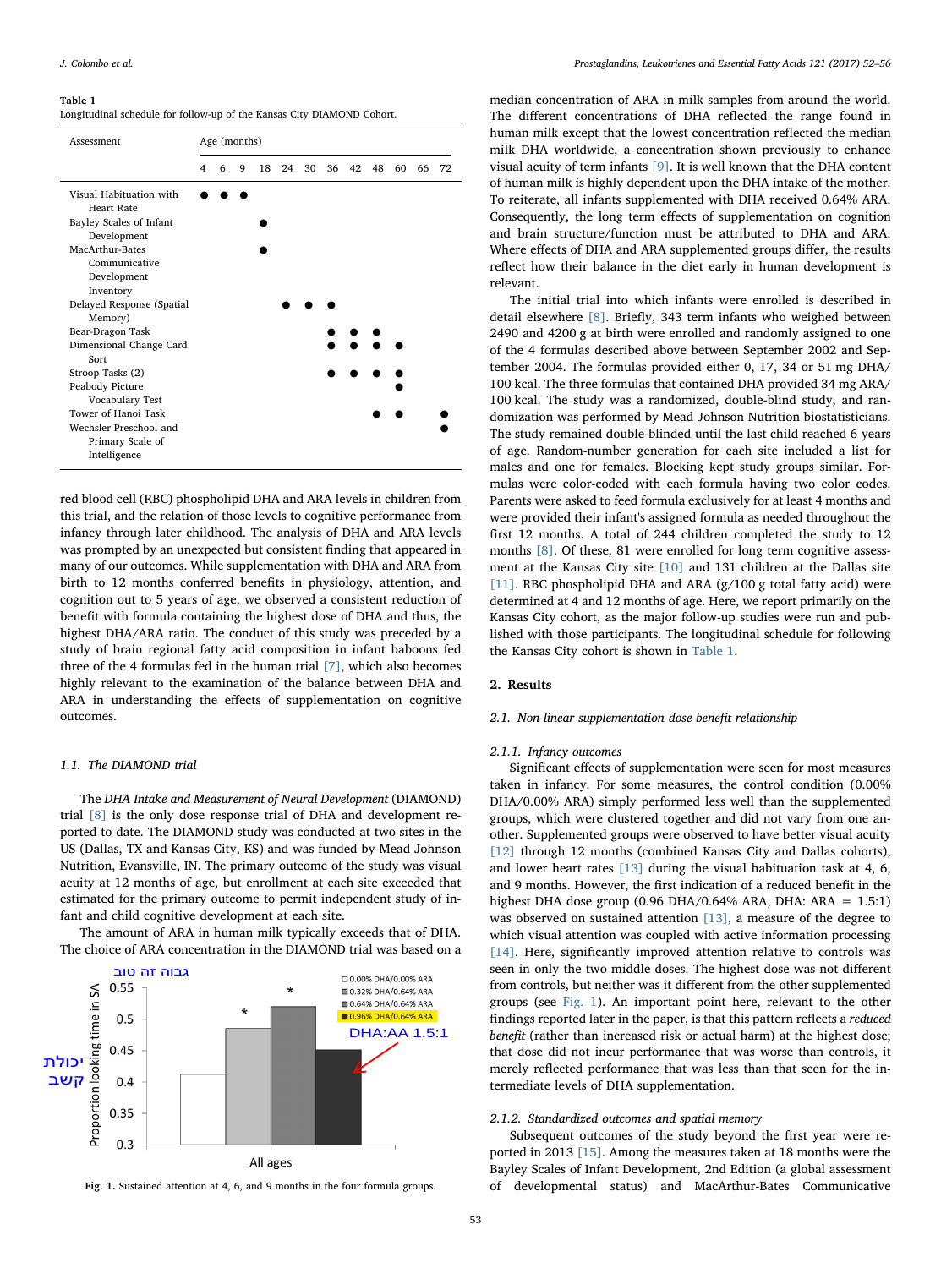#### <span id="page-1-0"></span>Table 1

Longitudinal schedule for follow-up of the Kansas City DIAMOND Cohort.

| Assessment                                                                                                                                                                                                                                                                                                                                                       | Age (months) |   |   |    |    |    |    |    |    |    |    |    |
|------------------------------------------------------------------------------------------------------------------------------------------------------------------------------------------------------------------------------------------------------------------------------------------------------------------------------------------------------------------|--------------|---|---|----|----|----|----|----|----|----|----|----|
|                                                                                                                                                                                                                                                                                                                                                                  | 4            | 6 | 9 | 18 | 24 | 30 | 36 | 42 | 48 | 60 | 66 | 72 |
| Visual Habituation with<br><b>Heart Rate</b><br>Bayley Scales of Infant<br>Development<br>MacArthur-Bates<br>Communicative<br>Development<br>Inventory<br>Delayed Response (Spatial<br>Memory)<br>Bear-Dragon Task<br>Dimensional Change Card<br>Sort<br>Stroop Tasks (2)<br>Peabody Picture<br>Vocabulary Test<br>Tower of Hanoi Task<br>Wechsler Preschool and |              |   |   |    |    |    |    |    |    |    |    |    |
| Primary Scale of<br>Intelligence                                                                                                                                                                                                                                                                                                                                 |              |   |   |    |    |    |    |    |    |    |    |    |

red blood cell (RBC) phospholipid DHA and ARA levels in children from this trial, and the relation of those levels to cognitive performance from infancy through later childhood. The analysis of DHA and ARA levels was prompted by an unexpected but consistent finding that appeared in many of our outcomes. While supplementation with DHA and ARA from birth to 12 months conferred benefits in physiology, attention, and cognition out to 5 years of age, we observed a consistent reduction of benefit with formula containing the highest dose of DHA and thus, the highest DHA/ARA ratio. The conduct of this study was preceded by a study of brain regional fatty acid composition in infant baboons fed three of the 4 formulas fed in the human trial [\[7\]](#page-4-2), which also becomes highly relevant to the examination of the balance between DHA and ARA in understanding the effects of supplementation on cognitive outcomes.

# 1.1. The DIAMOND trial

The DHA Intake and Measurement of Neural Development (DIAMOND) trial [\[8\]](#page-4-3) is the only dose response trial of DHA and development reported to date. The DIAMOND study was conducted at two sites in the US (Dallas, TX and Kansas City, KS) and was funded by Mead Johnson Nutrition, Evansville, IN. The primary outcome of the study was visual acuity at 12 months of age, but enrollment at each site exceeded that estimated for the primary outcome to permit independent study of infant and child cognitive development at each site.

The amount of ARA in human milk typically exceeds that of DHA. The choice of ARA concentration in the DIAMOND trial was based on a

<span id="page-1-1"></span>

Fig. 1. Sustained attention at 4, 6, and 9 months in the four formula groups.

median concentration of ARA in milk samples from around the world. The different concentrations of DHA reflected the range found in human milk except that the lowest concentration reflected the median milk DHA worldwide, a concentration shown previously to enhance visual acuity of term infants [\[9\]](#page-4-4). It is well known that the DHA content of human milk is highly dependent upon the DHA intake of the mother. To reiterate, all infants supplemented with DHA received 0.64% ARA. Consequently, the long term effects of supplementation on cognition and brain structure/function must be attributed to DHA and ARA. Where effects of DHA and ARA supplemented groups differ, the results reflect how their balance in the diet early in human development is relevant.

The initial trial into which infants were enrolled is described in detail elsewhere [\[8\]](#page-4-3). Briefly, 343 term infants who weighed between 2490 and 4200 g at birth were enrolled and randomly assigned to one of the 4 formulas described above between September 2002 and September 2004. The formulas provided either 0, 17, 34 or 51 mg DHA/ 100 kcal. The three formulas that contained DHA provided 34 mg ARA/ 100 kcal. The study was a randomized, double-blind study, and randomization was performed by Mead Johnson Nutrition biostatisticians. The study remained double-blinded until the last child reached 6 years of age. Random-number generation for each site included a list for males and one for females. Blocking kept study groups similar. Formulas were color-coded with each formula having two color codes. Parents were asked to feed formula exclusively for at least 4 months and were provided their infant's assigned formula as needed throughout the first 12 months. A total of 244 children completed the study to 12 months [\[8\].](#page-4-3) Of these, 81 were enrolled for long term cognitive assessment at the Kansas City site [\[10\]](#page-4-5) and 131 children at the Dallas site [\[11\]](#page-4-6). RBC phospholipid DHA and ARA (g/100 g total fatty acid) were determined at 4 and 12 months of age. Here, we report primarily on the Kansas City cohort, as the major follow-up studies were run and published with those participants. The longitudinal schedule for following the Kansas City cohort is shown in [Table 1.](#page-1-0)

# 2. Results

### 2.1. Non-linear supplementation dose-benefit relationship

#### 2.1.1. Infancy outcomes

Significant effects of supplementation were seen for most measures taken in infancy. For some measures, the control condition (0.00% DHA/0.00% ARA) simply performed less well than the supplemented groups, which were clustered together and did not vary from one another. Supplemented groups were observed to have better visual acuity [\[12\]](#page-4-7) through 12 months (combined Kansas City and Dallas cohorts), and lower heart rates [\[13\]](#page-4-8) during the visual habituation task at 4, 6, and 9 months. However, the first indication of a reduced benefit in the highest DHA dose group (0.96 DHA/0.64% ARA, DHA: ARA = 1.5:1) was observed on sustained attention [\[13\],](#page-4-8) a measure of the degree to which visual attention was coupled with active information processing [\[14\]](#page-4-9). Here, significantly improved attention relative to controls was seen in only the two middle doses. The highest dose was not different from controls, but neither was it different from the other supplemented groups (see [Fig. 1\)](#page-1-1). An important point here, relevant to the other findings reported later in the paper, is that this pattern reflects a reduced benefit (rather than increased risk or actual harm) at the highest dose; that dose did not incur performance that was worse than controls, it merely reflected performance that was less than that seen for the intermediate levels of DHA supplementation.

#### 2.1.2. Standardized outcomes and spatial memory

Subsequent outcomes of the study beyond the first year were reported in 2013 [\[15\].](#page-4-10) Among the measures taken at 18 months were the Bayley Scales of Infant Development, 2nd Edition (a global assessment of developmental status) and MacArthur-Bates Communicative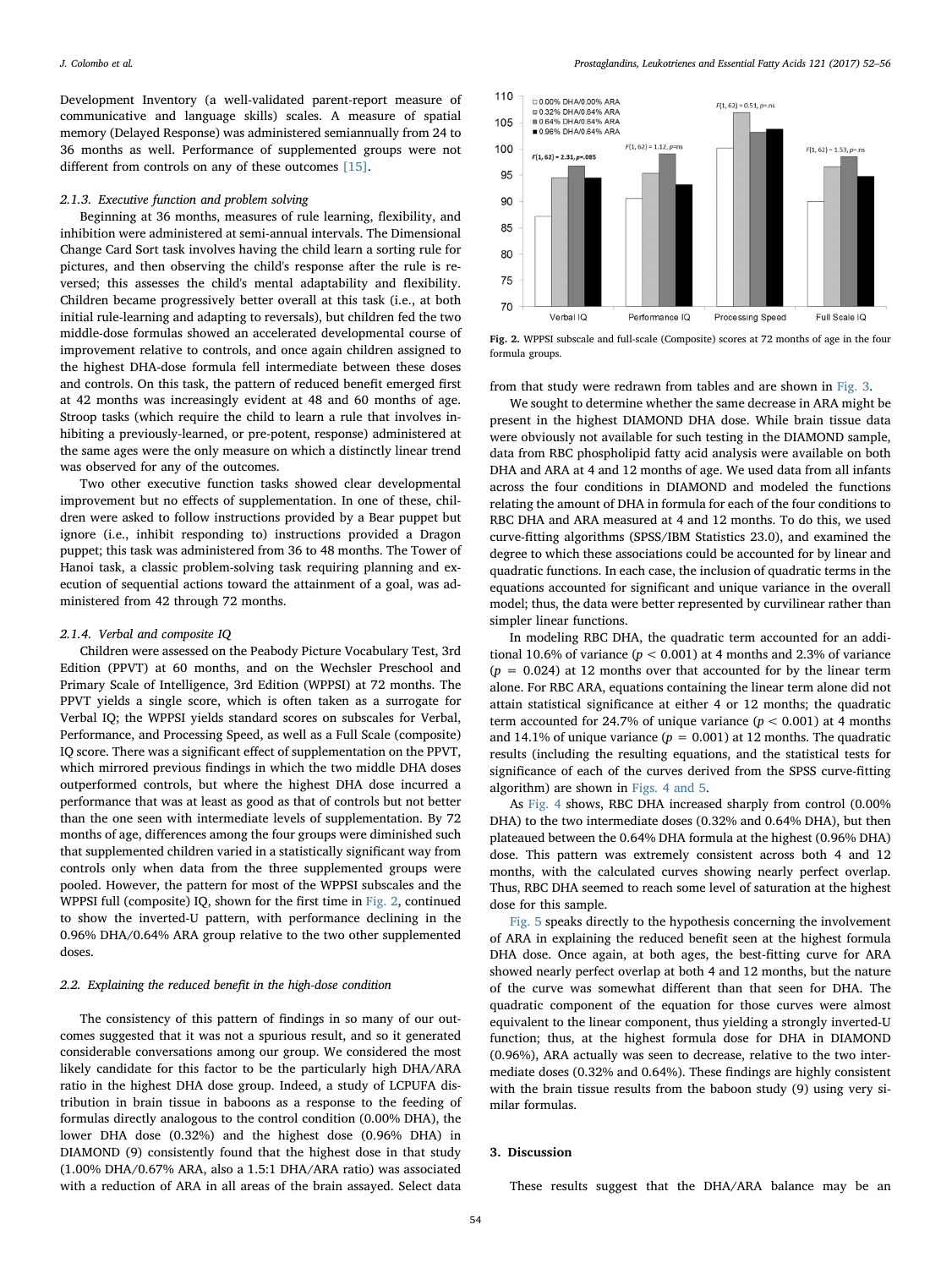Development Inventory (a well-validated parent-report measure of communicative and language skills) scales. A measure of spatial memory (Delayed Response) was administered semiannually from 24 to 36 months as well. Performance of supplemented groups were not different from controls on any of these outcomes [\[15\]](#page-4-10).

#### 2.1.3. Executive function and problem solving

Beginning at 36 months, measures of rule learning, flexibility, and inhibition were administered at semi-annual intervals. The Dimensional Change Card Sort task involves having the child learn a sorting rule for pictures, and then observing the child's response after the rule is reversed; this assesses the child's mental adaptability and flexibility. Children became progressively better overall at this task (i.e., at both initial rule-learning and adapting to reversals), but children fed the two middle-dose formulas showed an accelerated developmental course of improvement relative to controls, and once again children assigned to the highest DHA-dose formula fell intermediate between these doses and controls. On this task, the pattern of reduced benefit emerged first at 42 months was increasingly evident at 48 and 60 months of age. Stroop tasks (which require the child to learn a rule that involves inhibiting a previously-learned, or pre-potent, response) administered at the same ages were the only measure on which a distinctly linear trend was observed for any of the outcomes.

Two other executive function tasks showed clear developmental improvement but no effects of supplementation. In one of these, children were asked to follow instructions provided by a Bear puppet but ignore (i.e., inhibit responding to) instructions provided a Dragon puppet; this task was administered from 36 to 48 months. The Tower of Hanoi task, a classic problem-solving task requiring planning and execution of sequential actions toward the attainment of a goal, was administered from 42 through 72 months.

#### 2.1.4. Verbal and composite IQ

Children were assessed on the Peabody Picture Vocabulary Test, 3rd Edition (PPVT) at 60 months, and on the Wechsler Preschool and Primary Scale of Intelligence, 3rd Edition (WPPSI) at 72 months. The PPVT yields a single score, which is often taken as a surrogate for Verbal IQ; the WPPSI yields standard scores on subscales for Verbal, Performance, and Processing Speed, as well as a Full Scale (composite) IQ score. There was a significant effect of supplementation on the PPVT, which mirrored previous findings in which the two middle DHA doses outperformed controls, but where the highest DHA dose incurred a performance that was at least as good as that of controls but not better than the one seen with intermediate levels of supplementation. By 72 months of age, differences among the four groups were diminished such that supplemented children varied in a statistically significant way from controls only when data from the three supplemented groups were pooled. However, the pattern for most of the WPPSI subscales and the WPPSI full (composite) IQ, shown for the first time in [Fig. 2,](#page-2-0) continued to show the inverted-U pattern, with performance declining in the 0.96% DHA/0.64% ARA group relative to the two other supplemented doses.

# 2.2. Explaining the reduced benefit in the high-dose condition

The consistency of this pattern of findings in so many of our outcomes suggested that it was not a spurious result, and so it generated considerable conversations among our group. We considered the most likely candidate for this factor to be the particularly high DHA/ARA ratio in the highest DHA dose group. Indeed, a study of LCPUFA distribution in brain tissue in baboons as a response to the feeding of formulas directly analogous to the control condition (0.00% DHA), the lower DHA dose (0.32%) and the highest dose (0.96% DHA) in DIAMOND (9) consistently found that the highest dose in that study (1.00% DHA/0.67% ARA, also a 1.5:1 DHA/ARA ratio) was associated with a reduction of ARA in all areas of the brain assayed. Select data

<span id="page-2-0"></span>

Fig. 2. WPPSI subscale and full-scale (Composite) scores at 72 months of age in the four formula groups.

from that study were redrawn from tables and are shown in [Fig. 3](#page-3-2).

We sought to determine whether the same decrease in ARA might be present in the highest DIAMOND DHA dose. While brain tissue data were obviously not available for such testing in the DIAMOND sample, data from RBC phospholipid fatty acid analysis were available on both DHA and ARA at 4 and 12 months of age. We used data from all infants across the four conditions in DIAMOND and modeled the functions relating the amount of DHA in formula for each of the four conditions to RBC DHA and ARA measured at 4 and 12 months. To do this, we used curve-fitting algorithms (SPSS/IBM Statistics 23.0), and examined the degree to which these associations could be accounted for by linear and quadratic functions. In each case, the inclusion of quadratic terms in the equations accounted for significant and unique variance in the overall model; thus, the data were better represented by curvilinear rather than simpler linear functions.

In modeling RBC DHA, the quadratic term accounted for an additional 10.6% of variance ( $p < 0.001$ ) at 4 months and 2.3% of variance  $(p = 0.024)$  at 12 months over that accounted for by the linear term alone. For RBC ARA, equations containing the linear term alone did not attain statistical significance at either 4 or 12 months; the quadratic term accounted for 24.7% of unique variance  $(p < 0.001)$  at 4 months and 14.1% of unique variance ( $p = 0.001$ ) at 12 months. The quadratic results (including the resulting equations, and the statistical tests for significance of each of the curves derived from the SPSS curve-fitting algorithm) are shown in [Figs. 4 and 5.](#page-3-3)

As [Fig. 4](#page-3-3) shows, RBC DHA increased sharply from control (0.00% DHA) to the two intermediate doses (0.32% and 0.64% DHA), but then plateaued between the 0.64% DHA formula at the highest (0.96% DHA) dose. This pattern was extremely consistent across both 4 and 12 months, with the calculated curves showing nearly perfect overlap. Thus, RBC DHA seemed to reach some level of saturation at the highest dose for this sample.

[Fig. 5](#page-3-4) speaks directly to the hypothesis concerning the involvement of ARA in explaining the reduced benefit seen at the highest formula DHA dose. Once again, at both ages, the best-fitting curve for ARA showed nearly perfect overlap at both 4 and 12 months, but the nature of the curve was somewhat different than that seen for DHA. The quadratic component of the equation for those curves were almost equivalent to the linear component, thus yielding a strongly inverted-U function; thus, at the highest formula dose for DHA in DIAMOND (0.96%), ARA actually was seen to decrease, relative to the two intermediate doses (0.32% and 0.64%). These findings are highly consistent with the brain tissue results from the baboon study (9) using very similar formulas.

#### 3. Discussion

These results suggest that the DHA/ARA balance may be an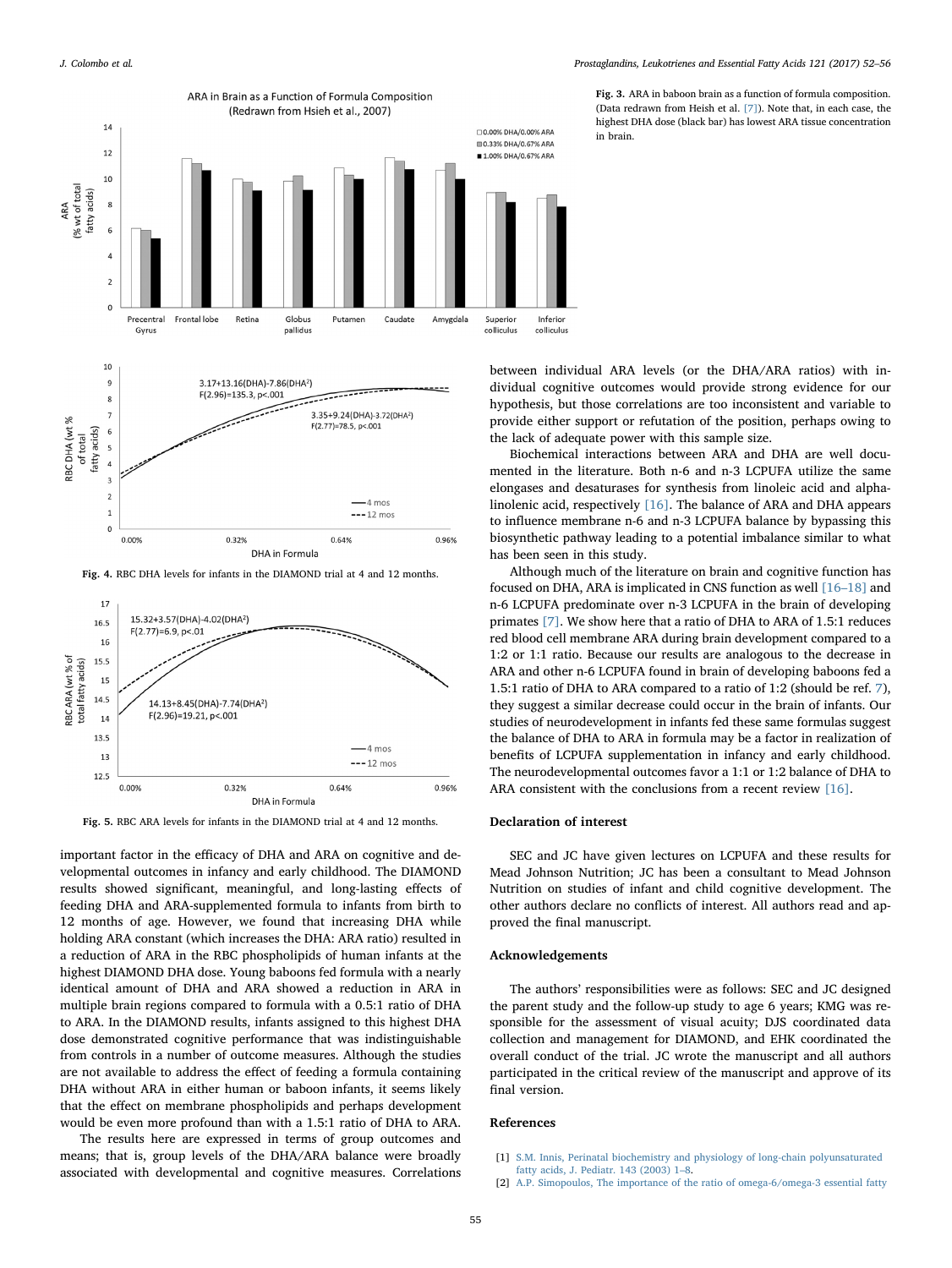<span id="page-3-2"></span>

<span id="page-3-3"></span>DHA in Formula

Fig. 4. RBC DHA levels for infants in the DIAMOND trial at 4 and 12 months.

<span id="page-3-4"></span>

Fig. 5. RBC ARA levels for infants in the DIAMOND trial at 4 and 12 months.

important factor in the efficacy of DHA and ARA on cognitive and developmental outcomes in infancy and early childhood. The DIAMOND results showed significant, meaningful, and long-lasting effects of feeding DHA and ARA-supplemented formula to infants from birth to 12 months of age. However, we found that increasing DHA while holding ARA constant (which increases the DHA: ARA ratio) resulted in a reduction of ARA in the RBC phospholipids of human infants at the highest DIAMOND DHA dose. Young baboons fed formula with a nearly identical amount of DHA and ARA showed a reduction in ARA in multiple brain regions compared to formula with a 0.5:1 ratio of DHA to ARA. In the DIAMOND results, infants assigned to this highest DHA dose demonstrated cognitive performance that was indistinguishable from controls in a number of outcome measures. Although the studies are not available to address the effect of feeding a formula containing DHA without ARA in either human or baboon infants, it seems likely that the effect on membrane phospholipids and perhaps development would be even more profound than with a 1.5:1 ratio of DHA to ARA.

The results here are expressed in terms of group outcomes and means; that is, group levels of the DHA/ARA balance were broadly associated with developmental and cognitive measures. Correlations Fig. 3. ARA in baboon brain as a function of formula composition. (Data redrawn from Heish et al. [\[7\]](#page-4-2)). Note that, in each case, the highest DHA dose (black bar) has lowest ARA tissue concentration in brain.

between individual ARA levels (or the DHA/ARA ratios) with individual cognitive outcomes would provide strong evidence for our hypothesis, but those correlations are too inconsistent and variable to provide either support or refutation of the position, perhaps owing to the lack of adequate power with this sample size.

Biochemical interactions between ARA and DHA are well documented in the literature. Both n-6 and n-3 LCPUFA utilize the same elongases and desaturases for synthesis from linoleic acid and alphalinolenic acid, respectively [\[16\].](#page-4-11) The balance of ARA and DHA appears to influence membrane n-6 and n-3 LCPUFA balance by bypassing this biosynthetic pathway leading to a potential imbalance similar to what has been seen in this study.

Although much of the literature on brain and cognitive function has focused on DHA, ARA is implicated in CNS function as well [\[16](#page-4-11)–18] and n-6 LCPUFA predominate over n-3 LCPUFA in the brain of developing primates [\[7\]](#page-4-2). We show here that a ratio of DHA to ARA of 1.5:1 reduces red blood cell membrane ARA during brain development compared to a 1:2 or 1:1 ratio. Because our results are analogous to the decrease in ARA and other n-6 LCPUFA found in brain of developing baboons fed a 1.5:1 ratio of DHA to ARA compared to a ratio of 1:2 (should be ref. [7](#page-4-2)), they suggest a similar decrease could occur in the brain of infants. Our studies of neurodevelopment in infants fed these same formulas suggest the balance of DHA to ARA in formula may be a factor in realization of benefits of LCPUFA supplementation in infancy and early childhood. The neurodevelopmental outcomes favor a 1:1 or 1:2 balance of DHA to ARA consistent with the conclusions from a recent review [\[16\].](#page-4-11)

#### Declaration of interest

SEC and JC have given lectures on LCPUFA and these results for Mead Johnson Nutrition; JC has been a consultant to Mead Johnson Nutrition on studies of infant and child cognitive development. The other authors declare no conflicts of interest. All authors read and approved the final manuscript.

#### Acknowledgements

The authors' responsibilities were as follows: SEC and JC designed the parent study and the follow-up study to age 6 years; KMG was responsible for the assessment of visual acuity; DJS coordinated data collection and management for DIAMOND, and EHK coordinated the overall conduct of the trial. JC wrote the manuscript and all authors participated in the critical review of the manuscript and approve of its final version.

# References

- <span id="page-3-0"></span>[1] [S.M. Innis, Perinatal biochemistry and physiology of long-chain polyunsaturated](http://refhub.elsevier.com/S0952-3278(17)30024-8/sbref1) [fatty acids, J. Pediatr. 143 \(2003\) 1](http://refhub.elsevier.com/S0952-3278(17)30024-8/sbref1)–8.
- <span id="page-3-1"></span>[2] [A.P. Simopoulos, The importance of the ratio of omega-6/omega-3 essential fatty](http://refhub.elsevier.com/S0952-3278(17)30024-8/sbref2)